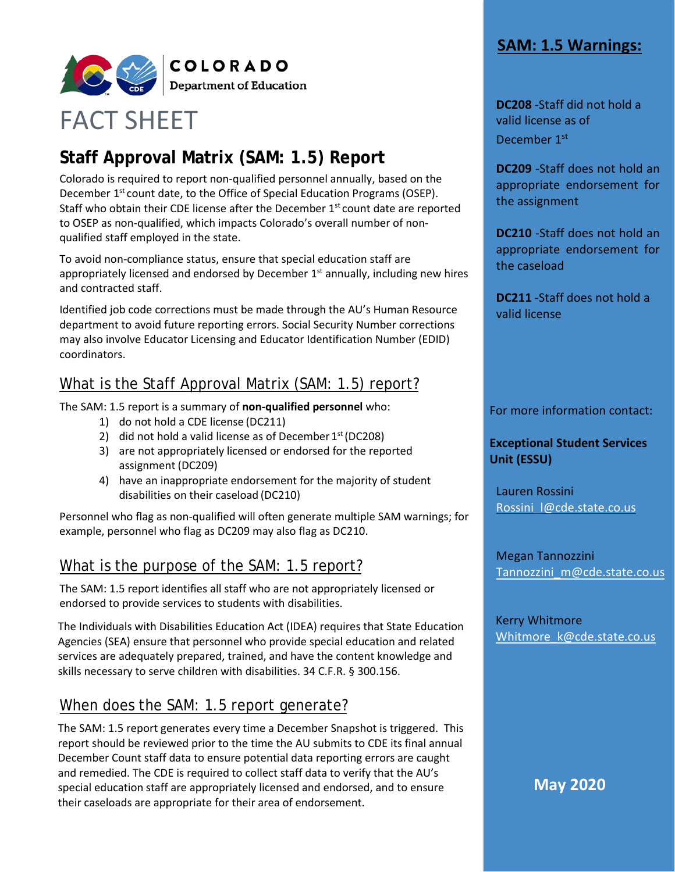## **SAM: 1.5 Warnings:**



# FACT SHEET

# **Staff Approval Matrix (SAM: 1.5) Report**

Colorado is required to report non-qualified personnel annually, based on the December 1<sup>st</sup> count date, to the Office of Special Education Programs (OSEP). Staff who obtain their CDE license after the December  $1<sup>st</sup>$  count date are reported to OSEP as non-qualified, which impacts Colorado's overall number of nonqualified staff employed in the state.

To avoid non-compliance status, ensure that special education staff are appropriately licensed and endorsed by December  $1<sup>st</sup>$  annually, including new hires and contracted staff.

Identified job code corrections must be made through the AU's Human Resource department to avoid future reporting errors. Social Security Number corrections may also involve Educator Licensing and Educator Identification Number (EDID) coordinators.

# What is the Staff Approval Matrix (SAM: 1.5) report?

The SAM: 1.5 report is a summary of **non-qualified personnel** who:

- 1) do not hold a CDE license (DC211)
- 2) did not hold a valid license as of December  $1<sup>st</sup>$  (DC208)
- 3) are not appropriately licensed or endorsed for the reported assignment (DC209)
- 4) have an inappropriate endorsement for the majority of student disabilities on their caseload (DC210)

Personnel who flag as non-qualified will often generate multiple SAM warnings; for example, personnel who flag as DC209 may also flag as DC210.

# What is the purpose of the SAM: 1.5 report?

The SAM: 1.5 report identifies all staff who are not appropriately licensed or endorsed to provide services to students with disabilities.

The Individuals with Disabilities Education Act (IDEA) requires that State Education Agencies (SEA) ensure that personnel who provide special education and related services are adequately prepared, trained, and have the content knowledge and skills necessary to serve children with disabilities. 34 C.F.R. § 300.156.

# When does the SAM: 1.5 report generate?

The SAM: 1.5 report generates every time a December Snapshot is triggered. This report should be reviewed prior to the time the AU submits to CDE its final annual December Count staff data to ensure potential data reporting errors are caught and remedied. The CDE is required to collect staff data to verify that the AU's special education staff are appropriately licensed and endorsed, and to ensure their caseloads are appropriate for their area of endorsement.

**DC208** -Staff did not hold a valid license as of December 1<sup>st</sup>

**DC209** -Staff does not hold an appropriate endorsement for the assignment

**DC210** -Staff does not hold an appropriate endorsement for the caseload

**DC211** -Staff does not hold a valid license

For more information contact:

#### **Exceptional Student Services Unit (ESSU)**

Lauren Rossini [Rossini\\_l@cde.state.co.us](mailto:Rossini_l@cde.state.co.us)

Megan Tannozzini [Tannozzini\\_m](mailto:Nelson_b@cde.state.co.us)@cde.state.co.us

 Kerry Whitmore [Whitmore\\_k@cde.state.co.us](mailto:Whitmore_k@cde.state.co.us)

**May 2020**